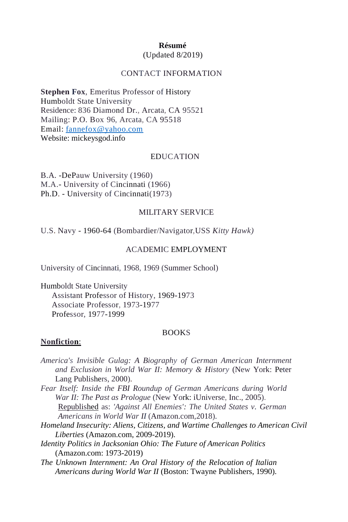## **Résumé**

## (Updated 8/2019)

#### CONTACT INFORMATION

**Stephen Fox**, Emeritus Professor of History Humboldt State University Residence: 836 Diamond Dr., Arcata, CA 95521 Mailing: P.O. Box 96, Arcata, CA 95518 Email: [fannefox@yahoo.com](mailto:fannefox@yahoo.com) Website: mickeysgod.info

#### EDUCATION

B.A. -DePauw University (1960) M.A.- University of Cincinnati (1966) Ph.D. - University of Cincinnati(1973)

#### MILITARY SERVICE

U.S. Navy - 1960-64 (Bombardier/Navigator,USS *Kitty Hawk)*

#### ACADEMIC EMPLOYMENT

University of Cincinnati, 1968, 1969 (Summer School)

Humboldt State University Assistant Professor of History, 1969-1973 Associate Professor, 1973-1977 Professor, 1977-1999

#### BOOKS

## **Nonfiction**:

- *America's Invisible Gulag: A Biography of German American Internment and Exclusion in World War II: Memory & History* (New York: Peter Lang Publishers, 2000).
- *Fear Itself: Inside the FBI Roundup of German Americans during World War II: The Past as Prologue* (New York: iUniverse, Inc., 2005). Republished as: *'Against All Enemies': The United States v. German Americans in World War II* (Amazon.com,2018).
- *Homeland Insecurity: Aliens, Citizens, and Wartime Challenges to American Civil Liberties* (Amazon.com, 2009-2019).
- *Identity Politics in Jacksonian Ohio: The Future of American Politics* (Amazon.com: 1973-2019)
- *The Unknown Internment: An Oral History of the Relocation of Italian Americans during World War II* (Boston: Twayne Publishers, 1990).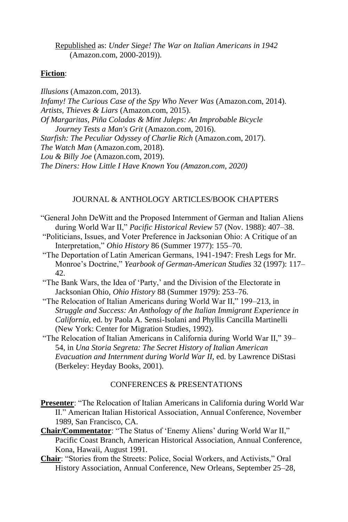Republished as: *Under Siege! The War on Italian Americans in 1942* (Amazon.com, 2000-2019)).

#### **Fiction**:

*Illusions* (Amazon.com, 2013). *Infamy! The Curious Case of the Spy Who Never Was* (Amazon.com, 2014). *Artists, Thieves & Liars* (Amazon.com, 2015). *Of Margaritas, Piña Coladas & Mint Juleps: An Improbable Bicycle Journey Tests a Man's Grit* (Amazon.com, 2016). *Starfish: The Peculiar Odyssey of Charlie Rich* (Amazon.com, 2017). *The Watch Man* (Amazon.com, 2018). *Lou & Billy Joe* (Amazon.com, 2019). *The Diners: How Little I Have Known You (Amazon.com, 2020)*

## JOURNAL & ANTHOLOGY ARTICLES/BOOK CHAPTERS

- "General John DeWitt and the Proposed Internment of German and Italian Aliens during World War II," *Pacific Historical Review* 57 (Nov. 1988): 407–38.
- "Politicians, Issues, and Voter Preference in Jacksonian Ohio: A Critique of an Interpretation," *Ohio History* 86 (Summer 1977): 155–70.
- "The Deportation of Latin American Germans, 1941-1947: Fresh Legs for Mr. Monroe's Doctrine," *Yearbook of German-American Studies* 32 (1997): 117– 42.
- "The Bank Wars, the Idea of 'Party,' and the Division of the Electorate in Jacksonian Ohio, *Ohio History* 88 (Summer 1979): 253–76.
- "The Relocation of Italian Americans during World War II," 199–213, in *Struggle and Success: An Anthology of the Italian Immigrant Experience in California*, ed. by Paola A. Sensi-Isolani and Phyllis Cancilla Martinelli (New York: Center for Migration Studies, 1992).
- "The Relocation of Italian Americans in California during World War II," 39– 54, in *Una Storia Segreta: The Secret History of Italian American Evacuation and Internment during World War II,* ed. by Lawrence DiStasi (Berkeley: Heyday Books, 2001).

## CONFERENCES & PRESENTATIONS

- **Presenter**: "The Relocation of Italian Americans in California during World War II." American Italian Historical Association, Annual Conference, November 1989, San Francisco, CA.
- **Chair/Commentator**: "The Status of 'Enemy Aliens' during World War II," Pacific Coast Branch, American Historical Association, Annual Conference, Kona, Hawaii, August 1991.
- **Chair**: "Stories from the Streets: Police, Social Workers, and Activists," Oral History Association, Annual Conference, New Orleans, September 25–28,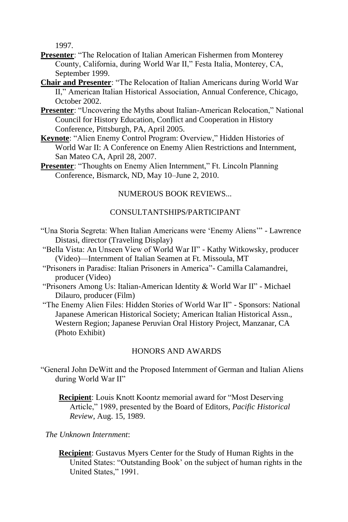1997.

- **Presenter**: "The Relocation of Italian American Fishermen from Monterey County, California, during World War II," Festa Italia, Monterey, CA, September 1999.
- **Chair and Presenter**: "The Relocation of Italian Americans during World War II," American Italian Historical Association, Annual Conference, Chicago, October 2002.
- **Presenter**: "Uncovering the Myths about Italian-American Relocation," National Council for History Education, Conflict and Cooperation in History Conference, Pittsburgh, PA, April 2005.
- **Keynote**: "Alien Enemy Control Program: Overview," Hidden Histories of World War II: A Conference on Enemy Alien Restrictions and Internment, San Mateo CA, April 28, 2007.
- **Presenter:** "Thoughts on Enemy Alien Internment," Ft. Lincoln Planning Conference, Bismarck, ND, May 10–June 2, 2010.

# NUMEROUS BOOK REVIEWS...

## CONSULTANTSHIPS/PARTICIPANT

- "Una Storia Segreta: When Italian Americans were 'Enemy Aliens'" Lawrence Distasi, director (Traveling Display)
- "Bella Vista: An Unseen View of World War II" Kathy Witkowsky, producer (Video)—Internment of Italian Seamen at Ft. Missoula, MT
- "Prisoners in Paradise: Italian Prisoners in America"- Camilla Calamandrei, producer (Video)
- "Prisoners Among Us: Italian-American Identity & World War II" Michael Dilauro, producer (Film)
- "The Enemy Alien Files: Hidden Stories of World War II" Sponsors: National Japanese American Historical Society; American Italian Historical Assn., Western Region; Japanese Peruvian Oral History Project, Manzanar, CA (Photo Exhibit)

## HONORS AND AWARDS

"General John DeWitt and the Proposed Internment of German and Italian Aliens during World War II"

**Recipient**: Louis Knott Koontz memorial award for "Most Deserving Article," 1989, presented by the Board of Editors, *Pacific Historical Review*, Aug. 15, 1989.

*The Unknown Internment*:

**Recipient**: Gustavus Myers Center for the Study of Human Rights in the United States: "Outstanding Book' on the subject of human rights in the United States," 1991.